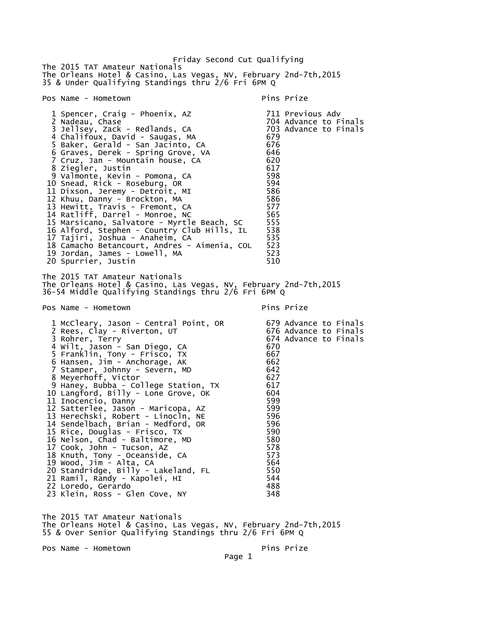Friday Second Cut Qualifying The 2015 TAT Amateur Nationals The Orleans Hotel & Casino, Las Vegas, NV, February 2nd-7th,2015 35 & Under Qualifying Standings thru 2/6 Fri 6PM Q Pos Name - Hometown entry the pins Prize pins Prize 1 Spencer, Craig - Phoenix, AZ 711 Previous Adv 704 Advance to Finals<br>703 Advance to Finals 3 Jellsey, Zack - Redlands, CA 4 Chalifoux, David - Saugas, MA 679 5 Baker, Gerald - San Jacinto, CA 676 6 Graves, Derek - Spring Grove, VA 7 Cruz, Jan - Mountain house, CA 620 8 Ziegler, Justin 617 9 Valmonte, Kevin - Pomona, CA 598 10 Snead, Rick - Roseburg, OR 594 11 Dixson, Jeremy - Detroit, MI 586 12 Khuu, Danny - Brockton, MA 586 13 Hewitt, Travis - Fremont, CA 577 14 Ratliff, Darrel - Monroe, NC 565 15 Marsicano, Salvatore - Myrtle Beach, SC 555<br>16 Alford, Stephen - Country Club Hills, IL 538 16 Alford, Stephen - Country Club Hills, IL 538 17 Tajiri, Joshua - Anaheim, CA 535 18 Camacho Betancourt, Andres - Aimenia, COL 523 19 Jordan, James - Lowell, MA 523 20 Spurrier, Justin The 2015 TAT Amateur Nationals The Orleans Hotel & Casino, Las Vegas, NV, February 2nd-7th,2015 36-54 Middle Qualifying Standings thru 2/6 Fri 6PM Q Pos Name - Hometown expansion of the Pins Prize 1 McCleary, Jason - Central Point, OR 679 Advance to Finals<br>2 Rees, Clay - Riverton, UT 676 Advance to Finals 2 Rees, Clay - Riverton, UT 3 Rohrer, Terry 674 Advance to Finals 4 Wilt, Jason - San Diego, CA 670 5 Franklin, Tony - Frisco, TX 667 6 Hansen, Jim - Anchorage, AK 662 7 Stamper, Johnny - Severn, MD 642 8 Meyerhoff, Victor 627 9 Haney, Bubba - College Station, TX 617 10 Langford, Billy - Lone Grove, OK 604 11 Inocencio, Danny 599 12 Satterlee, Jason - Maricopa, AZ 599 13 Herechski, Robert - Linocln, NE 596 14 Sendelbach, Brian - Medford, OR 596 15 Rice, Douglas - Frisco, TX 590 16 Nelson, Chad - Baltimore, MD 580 17 Cook, John - Tucson, AZ 578 18 Knuth, Tony - Oceanside, CA 573 19 Wood, Jim - Alta, CA 564 20 Standridge, Billy - Lakeland, FL 550 21 Ramil, Randy - Kapolei, HI 544 22 Loredo, Gerardo 488 23 Klein, Ross - Glen Cove, NY The 2015 TAT Amateur Nationals The Orleans Hotel & Casino, Las Vegas, NV, February 2nd-7th,2015 55 & Over Senior Qualifying Standings thru 2/6 Fri 6PM Q

Pos Name - Hometown Pins Prize

Page 1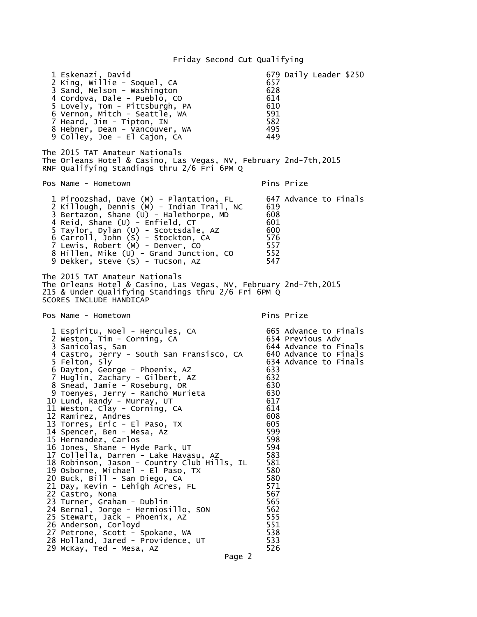## Friday Second Cut Qualifying

 1 Eskenazi, David 679 Daily Leader \$250 2 King, Willie - Soquel, CA 657 3 Sand, Nelson - Washington 628 4 Cordova, Dale - Pueblo, CO 614 5 Lovely, Tom - Pittsburgh, PA 610 6 Vernon, Mitch - Seattle, WA 591 7 Heard, Jim - Tipton, IN 582 8 Hebner, Dean - Vancouver, WA 495<br>9 Colley, Joe - El Cajon, CA 449 9 Colley, Joe - El Cajon, CA The 2015 TAT Amateur Nationals The Orleans Hotel & Casino, Las Vegas, NV, February 2nd-7th,2015 RNF Qualifying Standings thru 2/6 Fri 6PM Q Pos Name - Hometown Pins Prize 1 Piroozshad, Dave (M) - Plantation, FL 647 Advance to Finals 2 Killough, Dennis (M) - Indian Trail, NC 619 3 Bertazon, Shane (U) - Halethorpe, MD 608 4 Reid, Shane (U) - Enfield, CT 601 5 Taylor, Dylan (U) - Scottsdale, AZ 600 6 Carroll, John (S) - Stockton, CA 576 7 Lewis, Robert (M) - Denver, CO 557 8 Hillen, Mike (U) - Grand Junction, CO 552 9 Dekker, Steve (S) - Tucson, AZ The 2015 TAT Amateur Nationals The Orleans Hotel & Casino, Las Vegas, NV, February 2nd-7th,2015 215 & Under Qualifying Standings thru 2/6 Fri 6PM Q SCORES INCLUDE HANDICAP Pos Name - Hometown Pins Prize 1 Espiritu, Noel - Hercules, CA 665 Advance to Finals 2 Weston, Tim - Corning, CA 654 Previous Adv 3 Sanicolas, Sam<br>4 Castro, Jerry - South San Fransisco, CA 640 Advance to Finals 4 Castro, Jerry - South San Fransisco, CA 640 Advance to Finals 5 Felton, Sly 634 Advance to Finals 6 Dayton, George - Phoenix, AZ 633 7 Huglin, Zachary - Gilbert, AZ 632 8 Snead, Jamie - Roseburg, OR 630 9 Toenyes, Jerry - Rancho Murieta 630 10 Lund, Randy - Murray, UT 617 11 Weston, Clay - Corning, CA 614 12 Ramirez, Andres 608 13 Torres, Eric - El Paso, TX 605 14 Spencer, Ben - Mesa, Az 599 15 Hernandez, Carlos 598 16 Jones, Shane - Hyde Park, UT 594 17 Collella, Darren - Lake Havasu, AZ 583 18 Robinson, Jason - Country Club Hills, IL 581 19 Osborne, Michael - El Paso, TX 580  $20$  Buck, Bill - San Diego,  $CA$ <sup>2</sup> 680 21 Day, Kevin - Lehigh Acres, FL 571 22 Castro, Nona 567 23 Turner, Graham - Dublin 565 24 Bernal, Jorge - Hermiosillo, SON 562 25 Stewart, Jack - Phoenix, AZ 555 26 Anderson, Corloyd 551 27 Petrone, Scott - Spokane, WA 538 28 Holland, Jared - Providence, UT 29 McKay, Ted - Mesa, AZ 526